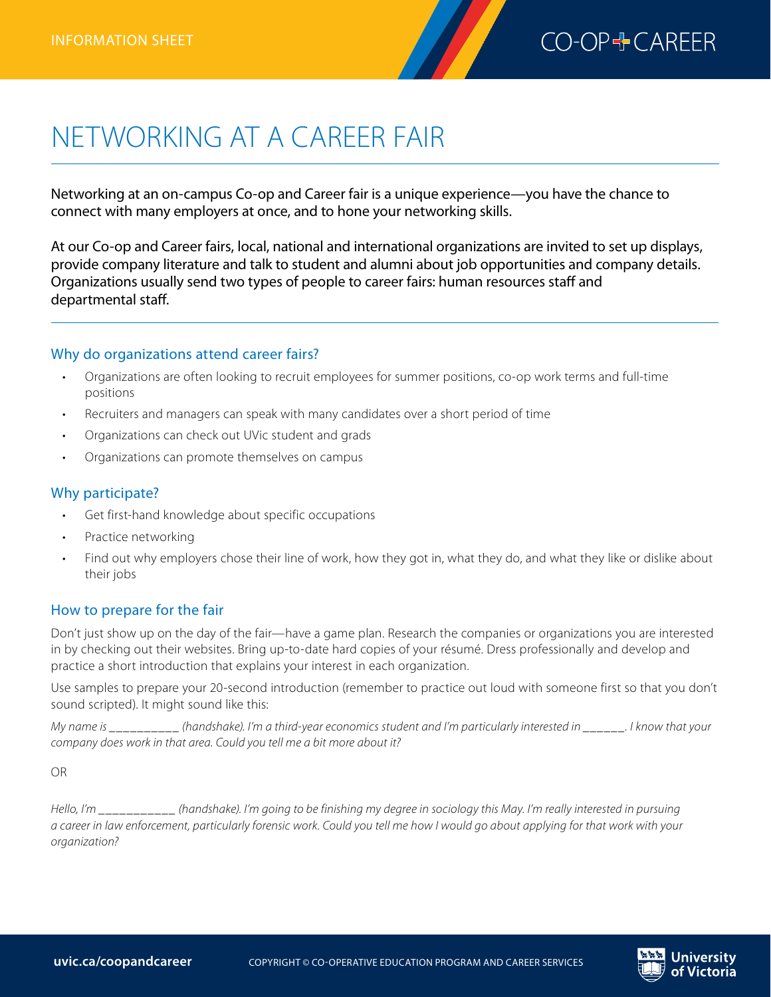

# NETWORKING AT A CAREER FAIR

Networking at an on-campus Co-op and Career fair is a unique experience—you have the chance to connect with many employers at once, and to hone your networking skills.

At our Co-op and Career fairs, local, national and international organizations are invited to set up displays, provide company literature and talk to student and alumni about job opportunities and company details. Organizations usually send two types of people to career fairs: human resources staff and departmental staff.

#### Why do organizations attend career fairs?

- Organizations are often looking to recruit employees for summer positions, co-op work terms and full-time positions
- Recruiters and managers can speak with many candidates over a short period of time
- Organizations can check out UVic student and grads
- Organizations can promote themselves on campus

#### Why participate?

- Get first-hand knowledge about specific occupations
- Practice networking
- Find out why employers chose their line of work, how they got in, what they do, and what they like or dislike about their jobs

#### How to prepare for the fair

Don't just show up on the day of the fair—have a game plan. Research the companies or organizations you are interested in by checking out their websites. Bring up-to-date hard copies of your résumé. Dress professionally and develop and practice a short introduction that explains your interest in each organization.

Use samples to prepare your 20-second introduction (remember to practice out loud with someone first so that you don't sound scripted). It might sound like this:

*My name is \_\_\_\_\_\_\_\_\_\_ (handshake). I'm a third-year economics student and I'm particularly interested in \_\_\_\_\_\_. I know that your company does work in that area. Could you tell me a bit more about it?*

OR

*Hello, I'm \_\_\_\_\_\_\_\_\_\_\_ (handshake). I'm going to be finishing my degree in sociology this May. I'm really interested in pursuing a career in law enforcement, particularly forensic work. Could you tell me how I would go about applying for that work with your organization?*